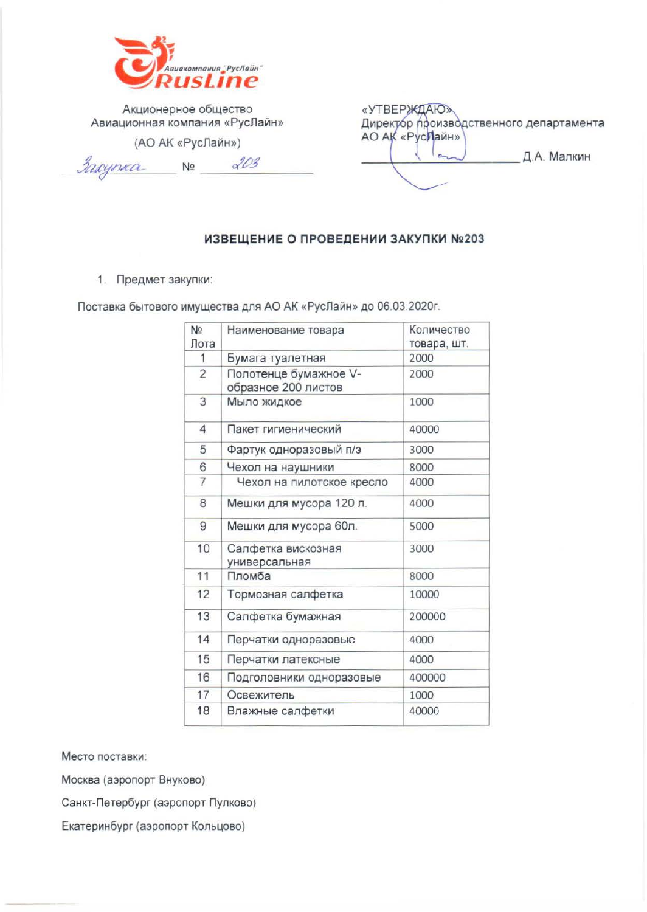

Акционерное общество Авиационная компания «РусЛайн»

(АО АК «РусЛайн»)

3 rayma No 203

| «УТВЕРЖДАЮ»                             |             |
|-----------------------------------------|-------------|
| Директор производственного департамента |             |
| АО АК «РусЛайн»                         |             |
|                                         | Д.А. Малкин |
|                                         |             |
|                                         |             |

#### ИЗВЕЩЕНИЕ О ПРОВЕДЕНИИ ЗАКУПКИ №203

1. Предмет закупки:

Поставка бытового имущества для АО АК «РусЛайн» до 06.03.2020г.

| N <sub>2</sub><br>Лота | Наименование товара                          | Количество<br>товара, шт. |
|------------------------|----------------------------------------------|---------------------------|
| 1                      | Бумага туалетная                             | 2000                      |
| $\overline{c}$         | Полотенце бумажное V-<br>образное 200 листов | 2000                      |
| 3                      | Мыло жидкое                                  | 1000                      |
| $\overline{4}$         | Пакет гигиенический                          | 40000                     |
| 5                      | Фартук одноразовый п/э                       | 3000                      |
| 6                      | Чехол на наушники                            | 8000                      |
| 7                      | Чехол на пилотское кресло                    | 4000                      |
| 8                      | Мешки для мусора 120 л.                      | 4000                      |
| 9                      | Мешки для мусора 60л.                        | 5000                      |
| 10                     | Салфетка вискозная<br>универсальная          | 3000                      |
| 11                     | Пломба                                       | 8000                      |
| 12                     | Тормозная салфетка                           | 10000                     |
| 13                     | Салфетка бумажная                            | 200000                    |
| 14                     | Перчатки одноразовые                         | 4000                      |
| 15                     | Перчатки латексные                           | 4000                      |
| 16                     | Подголовники одноразовые                     | 400000                    |
| 17                     | Освежитель                                   | 1000                      |
| 18                     | Влажные салфетки                             | 40000                     |

Место поставки:

Москва (аэропорт Внуково)

Санкт-Петербург (аэропорт Пулково)

Екатеринбург (аэропорт Кольцово)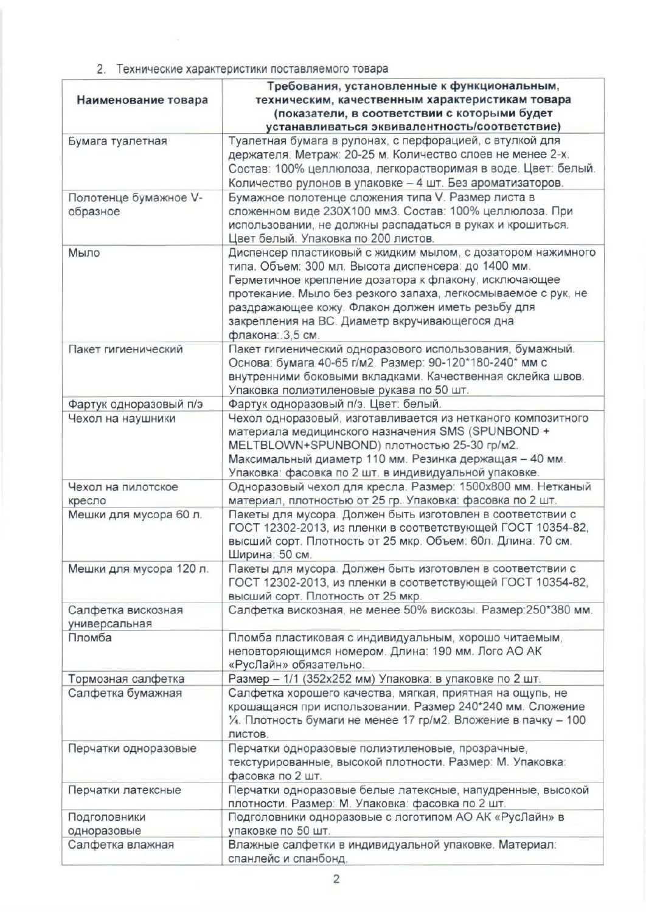## 2. Технические характеристики поставляемого товара

|                         | Требования, установленные к функциональным,                                                           |
|-------------------------|-------------------------------------------------------------------------------------------------------|
| Наименование товара     | техническим, качественным характеристикам товара                                                      |
|                         | (показатели, в соответствии с которыми будет                                                          |
|                         | устанавливаться эквивалентность/соответствие)                                                         |
| Бумага туалетная        | Туалетная бумага в рулонах, с перфорацией, с втулкой для                                              |
|                         | держателя. Метраж: 20-25 м. Количество слоев не менее 2-х.                                            |
|                         | Состав: 100% целлюлоза, легкорастворимая в воде. Цвет: белый.                                         |
|                         | Количество рулонов в упаковке - 4 шт. Без ароматизаторов.                                             |
| Полотенце бумажное V-   | Бумажное полотенце сложения типа V. Размер листа в                                                    |
| образное                | сложенном виде 230Х100 мм3. Состав: 100% целлюлоза. При                                               |
|                         | использовании, не должны распадаться в руках и крошиться.                                             |
|                         | Цвет белый. Упаковка по 200 листов.                                                                   |
| Мыло                    | Диспенсер пластиковый с жидким мылом, с дозатором нажимного                                           |
|                         | типа. Объем: 300 мл. Высота диспенсера: до 1400 мм.                                                   |
|                         | Герметичное крепление дозатора к флакону, исключающее                                                 |
|                         | протекание. Мыло без резкого запаха, легкосмываемое с рук, не                                         |
|                         | раздражающее кожу. Флакон должен иметь резьбу для                                                     |
|                         | закрепления на ВС. Диаметр вкручивающегося дна                                                        |
|                         | флакона: 3,5 см.                                                                                      |
| Пакет гигиенический     | Пакет гигиенический одноразового использования, бумажный.                                             |
|                         | Основа: бумага 40-65 г/м2. Размер: 90-120*180-240* мм с                                               |
|                         | внутренними боковыми вкладками. Качественная склейка швов.                                            |
|                         | Упаковка полиэтиленовые рукава по 50 шт.                                                              |
| Фартук одноразовый п/э  | Фартук одноразовый п/э. Цвет: белый.                                                                  |
| Чехол на наушники       | Чехол одноразовый, изготавливается из нетканого композитного                                          |
|                         | материала медицинского назначения SMS (SPUNBOND +                                                     |
|                         | MELTBLOWN+SPUNBOND) плотностью 25-30 гр/м2.<br>Максимальный диаметр 110 мм. Резинка держащая - 40 мм. |
|                         | Упаковка: фасовка по 2 шт. в индивидуальной упаковке.                                                 |
| Чехол на пилотское      | Одноразовый чехол для кресла. Размер: 1500х800 мм. Нетканый                                           |
| кресло                  | материал, плотностью от 25 гр. Упаковка: фасовка по 2 шт.                                             |
| Мешки для мусора 60 л.  | Пакеты для мусора. Должен быть изготовлен в соответствии с                                            |
|                         | ГОСТ 12302-2013, из пленки в соответствующей ГОСТ 10354-82,                                           |
|                         | высший сорт. Плотность от 25 мкр. Объем: 60л. Длина: 70 см.                                           |
|                         | Ширина: 50 см.                                                                                        |
| Мешки для мусора 120 л. | Пакеты для мусора. Должен быть изготовлен в соответствии с                                            |
|                         | ГОСТ 12302-2013, из пленки в соответствующей ГОСТ 10354-82,                                           |
|                         | высший сорт. Плотность от 25 мкр.                                                                     |
| Салфетка вискозная      | Салфетка вискозная, не менее 50% вискозы. Размер: 250*380 мм.                                         |
| универсальная           |                                                                                                       |
| Пломба                  | Пломба пластиковая с индивидуальным, хорошо читаемым,                                                 |
|                         | неповторяющимся номером. Длина: 190 мм. Лого АО АК                                                    |
|                         | «РусЛайн» обязательно.                                                                                |
| Тормозная салфетка      | Размер - 1/1 (352х252 мм) Упаковка: в упаковке по 2 шт.                                               |
| Салфетка бумажная       | Салфетка хорошего качества, мягкая, приятная на ощупь, не                                             |
|                         | крошащаяся при использовании. Размер 240*240 мм. Сложение                                             |
|                         | 1/4. Плотность бумаги не менее 17 гр/м2. Вложение в пачку - 100                                       |
|                         | ЛИСТОВ.                                                                                               |
| Перчатки одноразовые    | Перчатки одноразовые полиэтиленовые, прозрачные,                                                      |
|                         | текстурированные, высокой плотности. Размер: М. Упаковка:                                             |
|                         | фасовка по 2 шт.                                                                                      |
| Перчатки латексные      | Перчатки одноразовые белые латексные, напудренные, высокой                                            |
|                         | плотности. Размер: М. Упаковка: фасовка по 2 шт.                                                      |
| Подголовники            | Подголовники одноразовые с логотипом АО АК «РусЛайн» в                                                |
| одноразовые             | упаковке по 50 шт.                                                                                    |
| Салфетка влажная        | Влажные салфетки в индивидуальной упаковке. Материал:<br>спанлейс и спанбонд.                         |
|                         |                                                                                                       |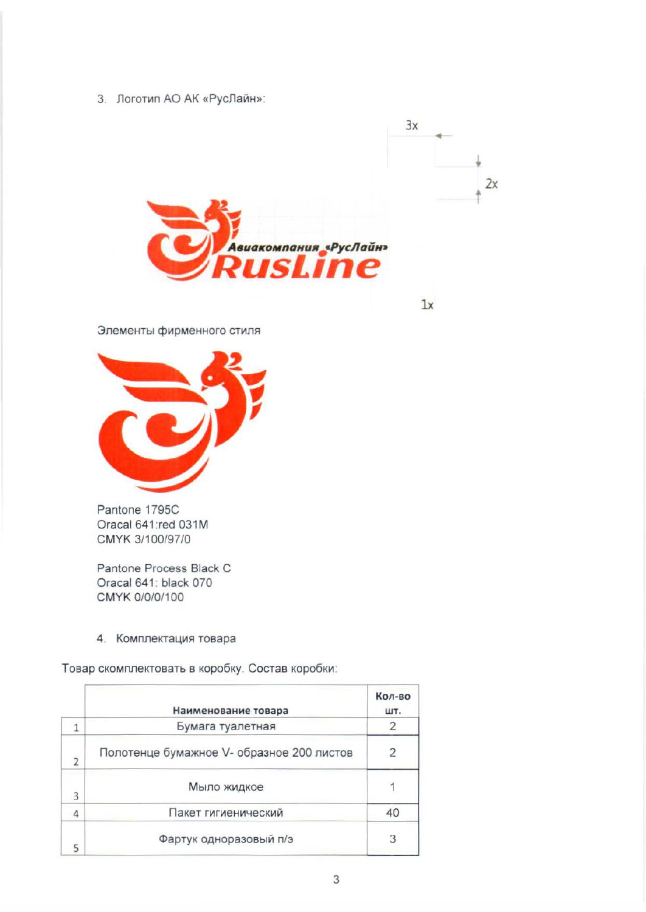3. Логотип АО АК «РусЛайн»:



Элементы фирменного стиля



Pantone 1795C Oracal 641:red 031M CMYK 3/100/97/0

Pantone Process Black C Oracal 641: black 070 CMYK 0/0/0/100

## 4. Комплектация товара

Товар скомплектовать в коробку. Состав коробки:

|                | Наименование товара                       | Кол-во<br>ШΤ. |
|----------------|-------------------------------------------|---------------|
|                | Бумага туалетная                          |               |
| $\overline{2}$ | Полотенце бумажное V- образное 200 листов |               |
| 3              | Мыло жидкое                               |               |
| $\Delta$       | Пакет гигиенический                       | 40            |
|                | Фартук одноразовый п/э                    |               |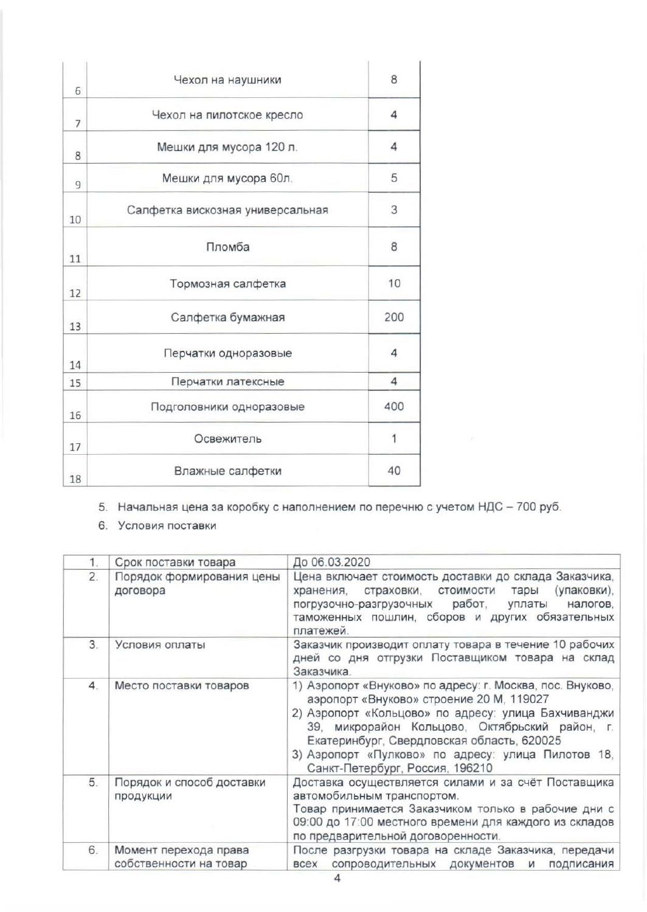| 6  | Чехол на наушники                | 8              |
|----|----------------------------------|----------------|
| 7  | Чехол на пилотское кресло        | $\overline{4}$ |
| 8  | Мешки для мусора 120 л.          | 4              |
| 9  | Мешки для мусора 60л.            | 5              |
| 10 | Салфетка вискозная универсальная | 3              |
| 11 | Пломба                           | 8              |
| 12 | Тормозная салфетка               | 10             |
| 13 | Салфетка бумажная                | 200            |
| 14 | Перчатки одноразовые             | 4              |
| 15 | Перчатки латексные               | $\overline{4}$ |
| 16 | Подголовники одноразовые         | 400            |
| 17 | Освежитель                       | $\overline{1}$ |
| 18 | Влажные салфетки                 | 40             |

5. Начальная цена за коробку с наполнением по перечню с учетом НДС - 700 руб.

6. Условия поставки

| 1. | Срок поставки товара                            | До 06.03.2020                                                                                                                                                                                                                                                                                                                                         |  |
|----|-------------------------------------------------|-------------------------------------------------------------------------------------------------------------------------------------------------------------------------------------------------------------------------------------------------------------------------------------------------------------------------------------------------------|--|
| 2. | Порядок формирования цены<br>договора           | Цена включает стоимость доставки до склада Заказчика,<br>(упаковки),<br>страховки, стоимости<br>тары<br>хранения,<br>работ,<br>налогов.<br>погрузочно-разгрузочных<br>уплаты<br>таможенных пошлин, сборов и других обязательных<br>платежей.                                                                                                          |  |
| 3. | Условия оплаты                                  | Заказчик производит оплату товара в течение 10 рабочих<br>дней со дня отгрузки Поставщиком товара на склад<br>Заказчика.                                                                                                                                                                                                                              |  |
| 4. | Место поставки товаров                          | 1) Аэропорт «Внуково» по адресу: г. Москва, пос. Внуково,<br>аэропорт «Внуково» строение 20 М, 119027<br>2) Аэропорт «Кольцово» по адресу: улица Бахчиванджи<br>39, микрорайон Кольцово, Октябрьский район, г.<br>Екатеринбург, Свердловская область, 620025<br>3) Аэропорт «Пулково» по адресу: улица Пилотов 18,<br>Санкт-Петербург, Россия, 196210 |  |
| 5. | Порядок и способ доставки<br>продукции          | Доставка осуществляется силами и за счёт Поставщика<br>автомобильным транспортом.<br>Товар принимается Заказчиком только в рабочие дни с<br>09:00 до 17:00 местного времени для каждого из складов<br>по предварительной договоренности.                                                                                                              |  |
| 6. | Момент перехода права<br>собственности на товар | После разгрузки товара на складе Заказчика, передачи<br>сопроводительных документов<br><b>BCEX</b><br>подписания<br><b>M</b>                                                                                                                                                                                                                          |  |